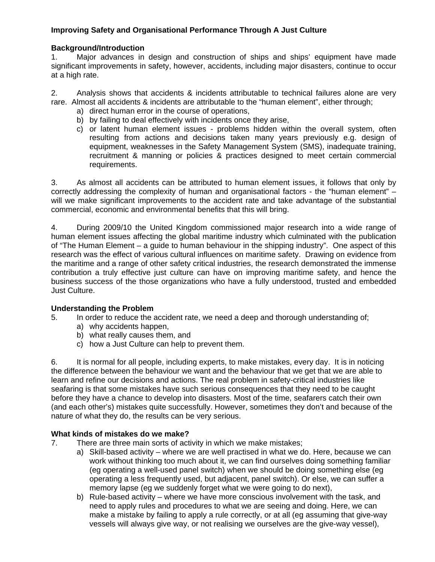## **Improving Safety and Organisational Performance Through A Just Culture**

### **Background/Introduction**

1. Major advances in design and construction of ships and ships' equipment have made significant improvements in safety, however, accidents, including major disasters, continue to occur at a high rate.

2. Analysis shows that accidents & incidents attributable to technical failures alone are very rare. Almost all accidents & incidents are attributable to the "human element", either through;

- a) direct human error in the course of operations,
- b) by failing to deal effectively with incidents once they arise,
- c) or latent human element issues problems hidden within the overall system, often resulting from actions and decisions taken many years previously e.g. design of equipment, weaknesses in the Safety Management System (SMS), inadequate training, recruitment & manning or policies & practices designed to meet certain commercial requirements.

3. As almost all accidents can be attributed to human element issues, it follows that only by correctly addressing the complexity of human and organisational factors - the "human element" – will we make significant improvements to the accident rate and take advantage of the substantial commercial, economic and environmental benefits that this will bring.

4. During 2009/10 the United Kingdom commissioned major research into a wide range of human element issues affecting the global maritime industry which culminated with the publication of "The Human Element – a guide to human behaviour in the shipping industry". One aspect of this research was the effect of various cultural influences on maritime safety. Drawing on evidence from the maritime and a range of other safety critical industries, the research demonstrated the immense contribution a truly effective just culture can have on improving maritime safety, and hence the business success of the those organizations who have a fully understood, trusted and embedded Just Culture.

### **Understanding the Problem**

- 5. In order to reduce the accident rate, we need a deep and thorough understanding of;
	- a) why accidents happen,
	- b) what really causes them, and
	- c) how a Just Culture can help to prevent them.

6. It is normal for all people, including experts, to make mistakes, every day. It is in noticing the difference between the behaviour we want and the behaviour that we get that we are able to learn and refine our decisions and actions. The real problem in safety-critical industries like seafaring is that some mistakes have such serious consequences that they need to be caught before they have a chance to develop into disasters. Most of the time, seafarers catch their own (and each other's) mistakes quite successfully. However, sometimes they don't and because of the nature of what they do, the results can be very serious.

#### **What kinds of mistakes do we make?**

- 7. There are three main sorts of activity in which we make mistakes;
	- a) Skill-based activity where we are well practised in what we do. Here, because we can work without thinking too much about it, we can find ourselves doing something familiar (eg operating a well-used panel switch) when we should be doing something else (eg operating a less frequently used, but adjacent, panel switch). Or else, we can suffer a memory lapse (eg we suddenly forget what we were going to do next),
	- b) Rule-based activity where we have more conscious involvement with the task, and need to apply rules and procedures to what we are seeing and doing. Here, we can make a mistake by failing to apply a rule correctly, or at all (eg assuming that give-way vessels will always give way, or not realising we ourselves are the give-way vessel),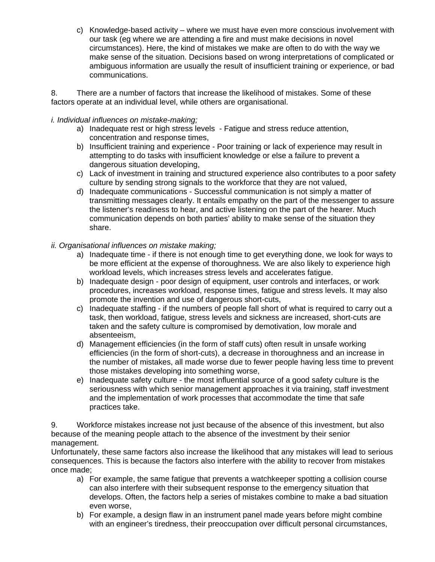c) Knowledge-based activity – where we must have even more conscious involvement with our task (eg where we are attending a fire and must make decisions in novel circumstances). Here, the kind of mistakes we make are often to do with the way we make sense of the situation. Decisions based on wrong interpretations of complicated or ambiguous information are usually the result of insufficient training or experience, or bad communications.

8. There are a number of factors that increase the likelihood of mistakes. Some of these factors operate at an individual level, while others are organisational.

## *i. Individual influences on mistake-making;*

- a) Inadequate rest or high stress levels Fatigue and stress reduce attention, concentration and response times,
- b) Insufficient training and experience Poor training or lack of experience may result in attempting to do tasks with insufficient knowledge or else a failure to prevent a dangerous situation developing,
- c) Lack of investment in training and structured experience also contributes to a poor safety culture by sending strong signals to the workforce that they are not valued,
- d) Inadequate communications Successful communication is not simply a matter of transmitting messages clearly. It entails empathy on the part of the messenger to assure the listener's readiness to hear, and active listening on the part of the hearer. Much communication depends on both parties' ability to make sense of the situation they share.
- *ii. Organisational influences on mistake making;* 
	- a) Inadequate time if there is not enough time to get everything done, we look for ways to be more efficient at the expense of thoroughness. We are also likely to experience high workload levels, which increases stress levels and accelerates fatigue.
	- b) Inadequate design poor design of equipment, user controls and interfaces, or work procedures, increases workload, response times, fatigue and stress levels. It may also promote the invention and use of dangerous short-cuts,
	- c) Inadequate staffing if the numbers of people fall short of what is required to carry out a task, then workload, fatigue, stress levels and sickness are increased, short-cuts are taken and the safety culture is compromised by demotivation, low morale and absenteeism,
	- d) Management efficiencies (in the form of staff cuts) often result in unsafe working efficiencies (in the form of short-cuts), a decrease in thoroughness and an increase in the number of mistakes, all made worse due to fewer people having less time to prevent those mistakes developing into something worse,
	- e) Inadequate safety culture the most influential source of a good safety culture is the seriousness with which senior management approaches it via training, staff investment and the implementation of work processes that accommodate the time that safe practices take.

9. Workforce mistakes increase not just because of the absence of this investment, but also because of the meaning people attach to the absence of the investment by their senior management.

Unfortunately, these same factors also increase the likelihood that any mistakes will lead to serious consequences. This is because the factors also interfere with the ability to recover from mistakes once made;

- a) For example, the same fatigue that prevents a watchkeeper spotting a collision course can also interfere with their subsequent response to the emergency situation that develops. Often, the factors help a series of mistakes combine to make a bad situation even worse,
- b) For example, a design flaw in an instrument panel made years before might combine with an engineer's tiredness, their preoccupation over difficult personal circumstances,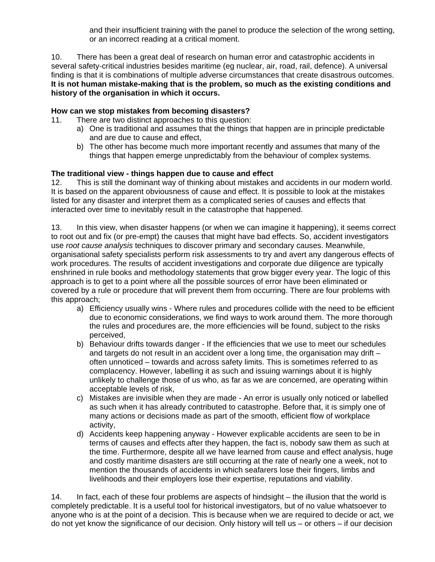and their insufficient training with the panel to produce the selection of the wrong setting, or an incorrect reading at a critical moment.

10. There has been a great deal of research on human error and catastrophic accidents in several safety-critical industries besides maritime (eg nuclear, air, road, rail, defence). A universal finding is that it is combinations of multiple adverse circumstances that create disastrous outcomes. **It is not human mistake-making that is the problem, so much as the existing conditions and history of the organisation in which it occurs.** 

## **How can we stop mistakes from becoming disasters?**

- 11. There are two distinct approaches to this question:
	- a) One is traditional and assumes that the things that happen are in principle predictable and are due to cause and effect,
	- b) The other has become much more important recently and assumes that many of the things that happen emerge unpredictably from the behaviour of complex systems.

## **The traditional view - things happen due to cause and effect**

12. This is still the dominant way of thinking about mistakes and accidents in our modern world. It is based on the apparent obviousness of cause and effect. It is possible to look at the mistakes listed for any disaster and interpret them as a complicated series of causes and effects that interacted over time to inevitably result in the catastrophe that happened.

13. In this view, when disaster happens (or when we can imagine it happening), it seems correct to root out and fix (or pre-empt) the causes that might have bad effects. So, accident investigators use *root cause analysis* techniques to discover primary and secondary causes. Meanwhile, organisational safety specialists perform risk assessments to try and avert any dangerous effects of work procedures. The results of accident investigations and corporate due diligence are typically enshrined in rule books and methodology statements that grow bigger every year. The logic of this approach is to get to a point where all the possible sources of error have been eliminated or covered by a rule or procedure that will prevent them from occurring. There are four problems with this approach;

- a) Efficiency usually wins Where rules and procedures collide with the need to be efficient due to economic considerations, we find ways to work around them. The more thorough the rules and procedures are, the more efficiencies will be found, subject to the risks perceived,
- b) Behaviour drifts towards danger If the efficiencies that we use to meet our schedules and targets do not result in an accident over a long time, the organisation may drift – often unnoticed – towards and across safety limits. This is sometimes referred to as complacency. However, labelling it as such and issuing warnings about it is highly unlikely to challenge those of us who, as far as we are concerned, are operating within acceptable levels of risk,
- c) Mistakes are invisible when they are made An error is usually only noticed or labelled as such when it has already contributed to catastrophe. Before that, it is simply one of many actions or decisions made as part of the smooth, efficient flow of workplace activity,
- d) Accidents keep happening anyway However explicable accidents are seen to be in terms of causes and effects after they happen, the fact is, nobody saw them as such at the time. Furthermore, despite all we have learned from cause and effect analysis, huge and costly maritime disasters are still occurring at the rate of nearly one a week, not to mention the thousands of accidents in which seafarers lose their fingers, limbs and livelihoods and their employers lose their expertise, reputations and viability.

14. In fact, each of these four problems are aspects of hindsight – the illusion that the world is completely predictable. It is a useful tool for historical investigators, but of no value whatsoever to anyone who is at the point of a decision. This is because when we are required to decide or act, we do not yet know the significance of our decision. Only history will tell us – or others – if our decision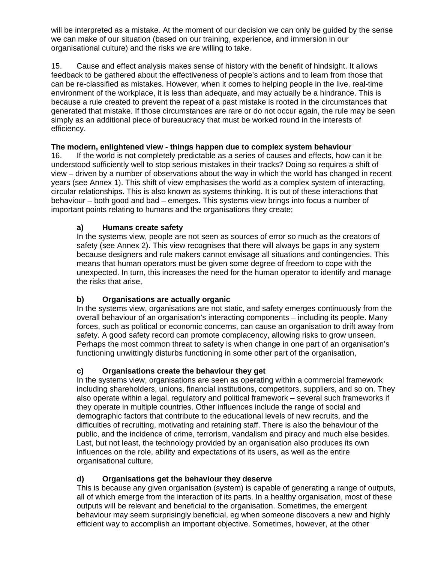will be interpreted as a mistake. At the moment of our decision we can only be guided by the sense we can make of our situation (based on our training, experience, and immersion in our organisational culture) and the risks we are willing to take.

15. Cause and effect analysis makes sense of history with the benefit of hindsight. It allows feedback to be gathered about the effectiveness of people's actions and to learn from those that can be re-classified as mistakes. However, when it comes to helping people in the live, real-time environment of the workplace, it is less than adequate, and may actually be a hindrance. This is because a rule created to prevent the repeat of a past mistake is rooted in the circumstances that generated that mistake. If those circumstances are rare or do not occur again, the rule may be seen simply as an additional piece of bureaucracy that must be worked round in the interests of efficiency.

# **The modern, enlightened view - things happen due to complex system behaviour**

16. If the world is not completely predictable as a series of causes and effects, how can it be understood sufficiently well to stop serious mistakes in their tracks? Doing so requires a shift of view – driven by a number of observations about the way in which the world has changed in recent years (see Annex 1). This shift of view emphasises the world as a complex system of interacting, circular relationships. This is also known as systems thinking. It is out of these interactions that behaviour – both good and bad – emerges. This systems view brings into focus a number of important points relating to humans and the organisations they create;

## **a) Humans create safety**

In the systems view, people are not seen as sources of error so much as the creators of safety (see Annex 2). This view recognises that there will always be gaps in any system because designers and rule makers cannot envisage all situations and contingencies. This means that human operators must be given some degree of freedom to cope with the unexpected. In turn, this increases the need for the human operator to identify and manage the risks that arise,

# **b) Organisations are actually organic**

In the systems view, organisations are not static, and safety emerges continuously from the overall behaviour of an organisation's interacting components – including its people. Many forces, such as political or economic concerns, can cause an organisation to drift away from safety. A good safety record can promote complacency, allowing risks to grow unseen. Perhaps the most common threat to safety is when change in one part of an organisation's functioning unwittingly disturbs functioning in some other part of the organisation,

### **c) Organisations create the behaviour they get**

In the systems view, organisations are seen as operating within a commercial framework including shareholders, unions, financial institutions, competitors, suppliers, and so on. They also operate within a legal, regulatory and political framework – several such frameworks if they operate in multiple countries. Other influences include the range of social and demographic factors that contribute to the educational levels of new recruits, and the difficulties of recruiting, motivating and retaining staff. There is also the behaviour of the public, and the incidence of crime, terrorism, vandalism and piracy and much else besides. Last, but not least, the technology provided by an organisation also produces its own influences on the role, ability and expectations of its users, as well as the entire organisational culture,

### **d) Organisations get the behaviour they deserve**

This is because any given organisation (system) is capable of generating a range of outputs, all of which emerge from the interaction of its parts. In a healthy organisation, most of these outputs will be relevant and beneficial to the organisation. Sometimes, the emergent behaviour may seem surprisingly beneficial, eg when someone discovers a new and highly efficient way to accomplish an important objective. Sometimes, however, at the other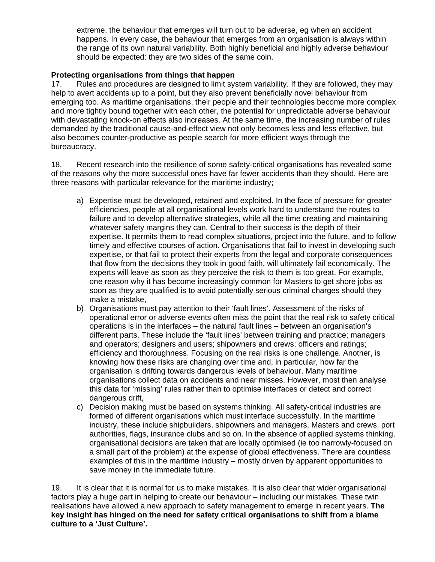extreme, the behaviour that emerges will turn out to be adverse, eg when an accident happens. In every case, the behaviour that emerges from an organisation is always within the range of its own natural variability. Both highly beneficial and highly adverse behaviour should be expected: they are two sides of the same coin.

## **Protecting organisations from things that happen**

17. Rules and procedures are designed to limit system variability. If they are followed, they may help to avert accidents up to a point, but they also prevent beneficially novel behaviour from emerging too. As maritime organisations, their people and their technologies become more complex and more tightly bound together with each other, the potential for unpredictable adverse behaviour with devastating knock-on effects also increases. At the same time, the increasing number of rules demanded by the traditional cause-and-effect view not only becomes less and less effective, but also becomes counter-productive as people search for more efficient ways through the bureaucracy.

18. Recent research into the resilience of some safety-critical organisations has revealed some of the reasons why the more successful ones have far fewer accidents than they should. Here are three reasons with particular relevance for the maritime industry;

- a) Expertise must be developed, retained and exploited. In the face of pressure for greater efficiencies, people at all organisational levels work hard to understand the routes to failure and to develop alternative strategies, while all the time creating and maintaining whatever safety margins they can. Central to their success is the depth of their expertise. It permits them to read complex situations, project into the future, and to follow timely and effective courses of action. Organisations that fail to invest in developing such expertise, or that fail to protect their experts from the legal and corporate consequences that flow from the decisions they took in good faith, will ultimately fail economically. The experts will leave as soon as they perceive the risk to them is too great. For example, one reason why it has become increasingly common for Masters to get shore jobs as soon as they are qualified is to avoid potentially serious criminal charges should they make a mistake,
- b) Organisations must pay attention to their 'fault lines'. Assessment of the risks of operational error or adverse events often miss the point that the real risk to safety critical operations is in the interfaces – the natural fault lines – between an organisation's different parts. These include the 'fault lines' between training and practice; managers and operators; designers and users; shipowners and crews; officers and ratings; efficiency and thoroughness. Focusing on the real risks is one challenge. Another, is knowing how these risks are changing over time and, in particular, how far the organisation is drifting towards dangerous levels of behaviour. Many maritime organisations collect data on accidents and near misses. However, most then analyse this data for 'missing' rules rather than to optimise interfaces or detect and correct dangerous drift,
- c) Decision making must be based on systems thinking. All safety-critical industries are formed of different organisations which must interface successfully. In the maritime industry, these include shipbuilders, shipowners and managers, Masters and crews, port authorities, flags, insurance clubs and so on. In the absence of applied systems thinking, organisational decisions are taken that are locally optimised (ie too narrowly-focused on a small part of the problem) at the expense of global effectiveness. There are countless examples of this in the maritime industry – mostly driven by apparent opportunities to save money in the immediate future.

19. It is clear that it is normal for us to make mistakes. It is also clear that wider organisational factors play a huge part in helping to create our behaviour – including our mistakes. These twin realisations have allowed a new approach to safety management to emerge in recent years. **The key insight has hinged on the need for safety critical organisations to shift from a blame culture to a 'Just Culture'.**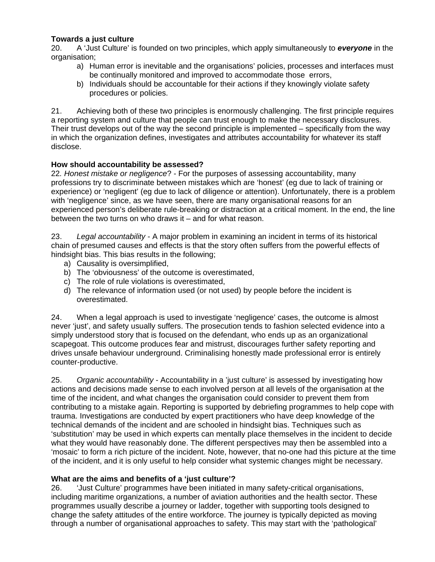## **Towards a just culture**

20. A 'Just Culture' is founded on two principles, which apply simultaneously to *everyone* in the organisation;

- a) Human error is inevitable and the organisations' policies, processes and interfaces must be continually monitored and improved to accommodate those errors,
- b) Individuals should be accountable for their actions if they knowingly violate safety procedures or policies.

21. Achieving both of these two principles is enormously challenging. The first principle requires a reporting system and culture that people can trust enough to make the necessary disclosures. Their trust develops out of the way the second principle is implemented – specifically from the way in which the organization defines, investigates and attributes accountability for whatever its staff disclose.

### **How should accountability be assessed?**

22*. Honest mistake or negligence*? - For the purposes of assessing accountability, many professions try to discriminate between mistakes which are 'honest' (eg due to lack of training or experience) or 'negligent' (eg due to lack of diligence or attention). Unfortunately, there is a problem with 'negligence' since, as we have seen, there are many organisational reasons for an experienced person's deliberate rule-breaking or distraction at a critical moment. In the end, the line between the two turns on who draws it – and for what reason.

23. *Legal accountability* - A major problem in examining an incident in terms of its historical chain of presumed causes and effects is that the story often suffers from the powerful effects of hindsight bias. This bias results in the following;

- a) Causality is oversimplified,
- b) The 'obviousness' of the outcome is overestimated,
- c) The role of rule violations is overestimated,
- d) The relevance of information used (or not used) by people before the incident is overestimated.

24. When a legal approach is used to investigate 'negligence' cases, the outcome is almost never 'just', and safety usually suffers. The prosecution tends to fashion selected evidence into a simply understood story that is focused on the defendant, who ends up as an organizational scapegoat. This outcome produces fear and mistrust, discourages further safety reporting and drives unsafe behaviour underground. Criminalising honestly made professional error is entirely counter-productive.

25. *Organic accountability* - Accountability in a 'just culture' is assessed by investigating how actions and decisions made sense to each involved person at all levels of the organisation at the time of the incident, and what changes the organisation could consider to prevent them from contributing to a mistake again. Reporting is supported by debriefing programmes to help cope with trauma. Investigations are conducted by expert practitioners who have deep knowledge of the technical demands of the incident and are schooled in hindsight bias. Techniques such as 'substitution' may be used in which experts can mentally place themselves in the incident to decide what they would have reasonably done. The different perspectives may then be assembled into a 'mosaic' to form a rich picture of the incident. Note, however, that no-one had this picture at the time of the incident, and it is only useful to help consider what systemic changes might be necessary.

### **What are the aims and benefits of a 'just culture'?**

26. 'Just Culture' programmes have been initiated in many safety-critical organisations, including maritime organizations, a number of aviation authorities and the health sector. These programmes usually describe a journey or ladder, together with supporting tools designed to change the safety attitudes of the entire workforce. The journey is typically depicted as moving through a number of organisational approaches to safety. This may start with the 'pathological'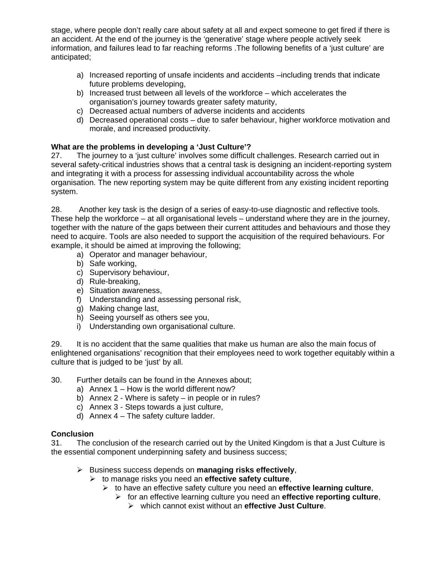stage, where people don't really care about safety at all and expect someone to get fired if there is an accident. At the end of the journey is the 'generative' stage where people actively seek information, and failures lead to far reaching reforms .The following benefits of a 'just culture' are anticipated;

- a) Increased reporting of unsafe incidents and accidents –including trends that indicate future problems developing,
- b) Increased trust between all levels of the workforce which accelerates the organisation's journey towards greater safety maturity,
- c) Decreased actual numbers of adverse incidents and accidents
- d) Decreased operational costs due to safer behaviour, higher workforce motivation and morale, and increased productivity.

# **What are the problems in developing a 'Just Culture'?**

27. The journey to a 'just culture' involves some difficult challenges. Research carried out in several safety-critical industries shows that a central task is designing an incident-reporting system and integrating it with a process for assessing individual accountability across the whole organisation. The new reporting system may be quite different from any existing incident reporting system.

28. Another key task is the design of a series of easy-to-use diagnostic and reflective tools. These help the workforce – at all organisational levels – understand where they are in the journey, together with the nature of the gaps between their current attitudes and behaviours and those they need to acquire. Tools are also needed to support the acquisition of the required behaviours. For example, it should be aimed at improving the following;

- a) Operator and manager behaviour,
- b) Safe working,
- c) Supervisory behaviour,
- d) Rule-breaking,
- e) Situation awareness,
- f) Understanding and assessing personal risk,
- g) Making change last,
- h) Seeing yourself as others see you,
- i) Understanding own organisational culture.

29. It is no accident that the same qualities that make us human are also the main focus of enlightened organisations' recognition that their employees need to work together equitably within a culture that is judged to be 'just' by all.

### 30. Further details can be found in the Annexes about;

- a) Annex 1 How is the world different now?
- b) Annex 2 Where is safety in people or in rules?
- c) Annex 3 Steps towards a just culture,
- d) Annex 4 The safety culture ladder.

### **Conclusion**

31. The conclusion of the research carried out by the United Kingdom is that a Just Culture is the essential component underpinning safety and business success;

- Business success depends on **managing risks effectively**,
	- to manage risks you need an **effective safety culture**,
		- to have an effective safety culture you need an **effective learning culture**,
			- for an effective learning culture you need an **effective reporting culture**,
				- which cannot exist without an **effective Just Culture**.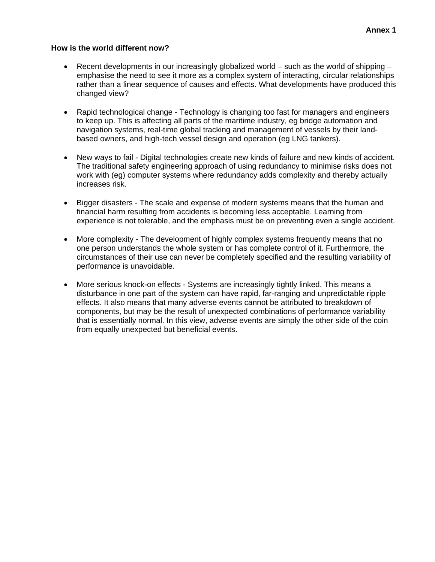#### **How is the world different now?**

- **•** Recent developments in our increasingly globalized world such as the world of shipping emphasise the need to see it more as a complex system of interacting, circular relationships rather than a linear sequence of causes and effects. What developments have produced this changed view?
- Rapid technological change Technology is changing too fast for managers and engineers to keep up. This is affecting all parts of the maritime industry, eg bridge automation and navigation systems, real-time global tracking and management of vessels by their landbased owners, and high-tech vessel design and operation (eg LNG tankers).
- New ways to fail Digital technologies create new kinds of failure and new kinds of accident. The traditional safety engineering approach of using redundancy to minimise risks does not work with (eg) computer systems where redundancy adds complexity and thereby actually increases risk.
- Bigger disasters The scale and expense of modern systems means that the human and financial harm resulting from accidents is becoming less acceptable. Learning from experience is not tolerable, and the emphasis must be on preventing even a single accident.
- More complexity The development of highly complex systems frequently means that no one person understands the whole system or has complete control of it. Furthermore, the circumstances of their use can never be completely specified and the resulting variability of performance is unavoidable.
- More serious knock-on effects Systems are increasingly tightly linked. This means a disturbance in one part of the system can have rapid, far-ranging and unpredictable ripple effects. It also means that many adverse events cannot be attributed to breakdown of components, but may be the result of unexpected combinations of performance variability that is essentially normal. In this view, adverse events are simply the other side of the coin from equally unexpected but beneficial events.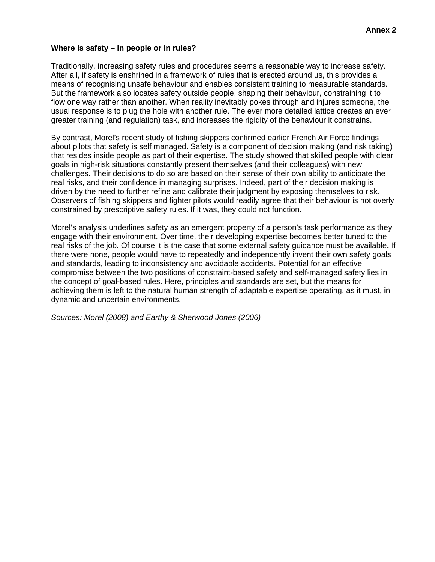#### **Where is safety – in people or in rules?**

Traditionally, increasing safety rules and procedures seems a reasonable way to increase safety. After all, if safety is enshrined in a framework of rules that is erected around us, this provides a means of recognising unsafe behaviour and enables consistent training to measurable standards. But the framework also locates safety outside people, shaping their behaviour, constraining it to flow one way rather than another. When reality inevitably pokes through and injures someone, the usual response is to plug the hole with another rule. The ever more detailed lattice creates an ever greater training (and regulation) task, and increases the rigidity of the behaviour it constrains.

By contrast, Morel's recent study of fishing skippers confirmed earlier French Air Force findings about pilots that safety is self managed. Safety is a component of decision making (and risk taking) that resides inside people as part of their expertise. The study showed that skilled people with clear goals in high-risk situations constantly present themselves (and their colleagues) with new challenges. Their decisions to do so are based on their sense of their own ability to anticipate the real risks, and their confidence in managing surprises. Indeed, part of their decision making is driven by the need to further refine and calibrate their judgment by exposing themselves to risk. Observers of fishing skippers and fighter pilots would readily agree that their behaviour is not overly constrained by prescriptive safety rules. If it was, they could not function.

Morel's analysis underlines safety as an emergent property of a person's task performance as they engage with their environment. Over time, their developing expertise becomes better tuned to the real risks of the job. Of course it is the case that some external safety guidance must be available. If there were none, people would have to repeatedly and independently invent their own safety goals and standards, leading to inconsistency and avoidable accidents. Potential for an effective compromise between the two positions of constraint-based safety and self-managed safety lies in the concept of goal-based rules. Here, principles and standards are set, but the means for achieving them is left to the natural human strength of adaptable expertise operating, as it must, in dynamic and uncertain environments.

*Sources: Morel (2008) and Earthy & Sherwood Jones (2006)*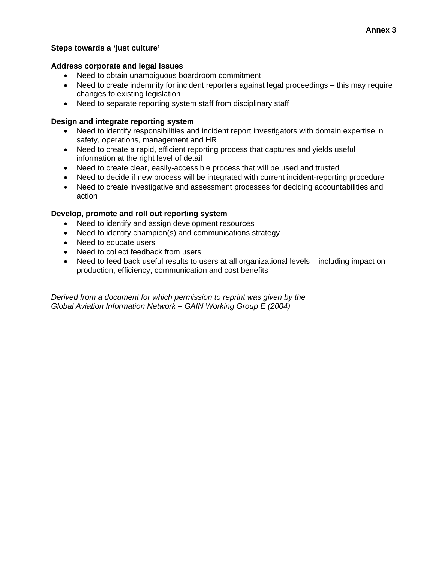#### **Steps towards a 'just culture'**

#### **Address corporate and legal issues**

- Need to obtain unambiguous boardroom commitment
- Need to create indemnity for incident reporters against legal proceedings this may require changes to existing legislation
- Need to separate reporting system staff from disciplinary staff

### **Design and integrate reporting system**

- Need to identify responsibilities and incident report investigators with domain expertise in safety, operations, management and HR
- Need to create a rapid, efficient reporting process that captures and yields useful information at the right level of detail
- Need to create clear, easily-accessible process that will be used and trusted
- Need to decide if new process will be integrated with current incident-reporting procedure
- Need to create investigative and assessment processes for deciding accountabilities and action

#### **Develop, promote and roll out reporting system**

- Need to identify and assign development resources
- Need to identify champion(s) and communications strategy
- Need to educate users
- Need to collect feedback from users
- Need to feed back useful results to users at all organizational levels including impact on production, efficiency, communication and cost benefits

*Derived from a document for which permission to reprint was given by the Global Aviation Information Network – GAIN Working Group E (2004)*